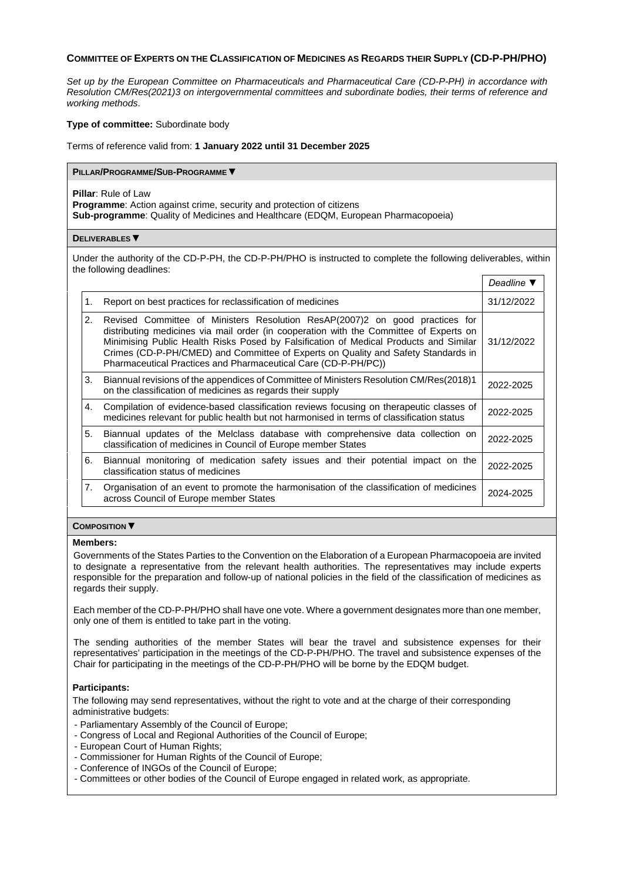# **COMMITTEE OF EXPERTS ON THE CLASSIFICATION OF MEDICINES AS REGARDS THEIR SUPPLY (CD-P-PH/PHO)**

*Set up by the European Committee on Pharmaceuticals and Pharmaceutical Care (CD-P-PH) in accordance with Resolution [CM/Res\(2021\)3](https://search.coe.int/cm/Pages/result_details.aspx?ObjectID=0900001680a27292) on intergovernmental committees and subordinate bodies, their terms of reference and working methods*.

### **Type of committee:** Subordinate body

Terms of reference valid from: **1 January 2022 until 31 December 2025**

### **PILLAR/PROGRAMME/SUB-PROGRAMME ▼**

**Pillar**: Rule of Law

**Programme**: Action against crime, security and protection of citizens **Sub-programme**: Quality of Medicines and Healthcare (EDQM, European Pharmacopoeia)

### **DELIVERABLES ▼**

Under the authority of the CD-P-PH, the CD-P-PH/PHO is instructed to complete the following deliverables, within the following deadlines:

|    |                                                                                                                                                                                                                                                                                                                                                                                                                        | Deadline $\Psi$ |  |
|----|------------------------------------------------------------------------------------------------------------------------------------------------------------------------------------------------------------------------------------------------------------------------------------------------------------------------------------------------------------------------------------------------------------------------|-----------------|--|
| 1. | Report on best practices for reclassification of medicines                                                                                                                                                                                                                                                                                                                                                             |                 |  |
| 2. | Revised Committee of Ministers Resolution ResAP(2007)2 on good practices for<br>distributing medicines via mail order (in cooperation with the Committee of Experts on<br>Minimising Public Health Risks Posed by Falsification of Medical Products and Similar<br>Crimes (CD-P-PH/CMED) and Committee of Experts on Quality and Safety Standards in<br>Pharmaceutical Practices and Pharmaceutical Care (CD-P-PH/PC)) | 31/12/2022      |  |
| 3. | Biannual revisions of the appendices of Committee of Ministers Resolution CM/Res(2018)1<br>on the classification of medicines as regards their supply                                                                                                                                                                                                                                                                  |                 |  |
| 4. | Compilation of evidence-based classification reviews focusing on therapeutic classes of<br>medicines relevant for public health but not harmonised in terms of classification status                                                                                                                                                                                                                                   |                 |  |
| 5. | Biannual updates of the Melclass database with comprehensive data collection on<br>classification of medicines in Council of Europe member States                                                                                                                                                                                                                                                                      |                 |  |
| 6. | Biannual monitoring of medication safety issues and their potential impact on the<br>classification status of medicines                                                                                                                                                                                                                                                                                                |                 |  |
| 7. | Organisation of an event to promote the harmonisation of the classification of medicines<br>across Council of Europe member States                                                                                                                                                                                                                                                                                     |                 |  |

# **COMPOSITION ▼**

### **Members:**

Governments of the States Parties to the Convention on the Elaboration of a European Pharmacopoeia are invited to designate a representative from the relevant health authorities. The representatives may include experts responsible for the preparation and follow-up of national policies in the field of the classification of medicines as regards their supply.

Each member of the CD-P-PH/PHO shall have one vote. Where a government designates more than one member, only one of them is entitled to take part in the voting.

The sending authorities of the member States will bear the travel and subsistence expenses for their representatives' participation in the meetings of the CD-P-PH/PHO. The travel and subsistence expenses of the Chair for participating in the meetings of the CD-P-PH/PHO will be borne by the EDQM budget.

### **Participants:**

The following may send representatives, without the right to vote and at the charge of their corresponding administrative budgets:

- Parliamentary Assembly of the Council of Europe;

- Congress of Local and Regional Authorities of the Council of Europe;
- European Court of Human Rights;
- Commissioner for Human Rights of the Council of Europe;
- Conference of INGOs of the Council of Europe;
- Committees or other bodies of the Council of Europe engaged in related work, as appropriate.